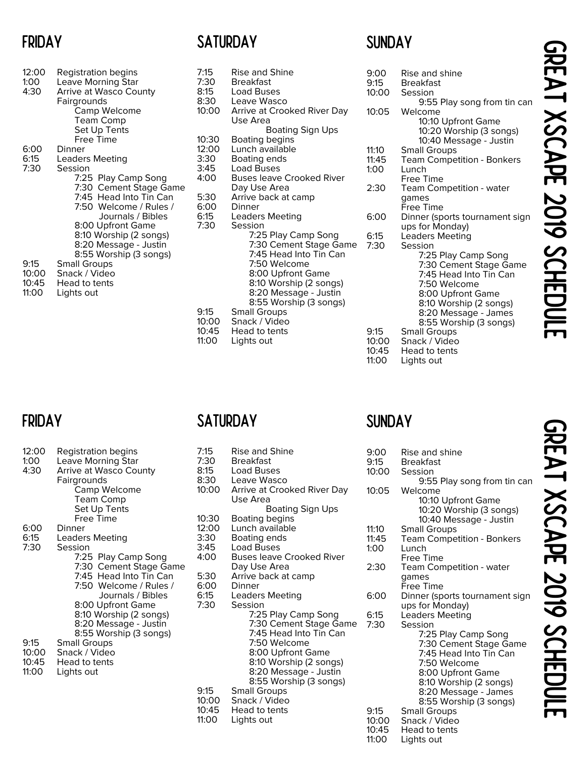# FRIDAY

| 12:00<br>1:00<br>4:30 | <b>Registration begins</b><br><b>Leave Morning Star</b><br>Arrive at Wasco County<br>Fairgrounds<br>Camp Welcome<br><b>Team Comp</b><br>Set Up Tents<br>Free Time |
|-----------------------|-------------------------------------------------------------------------------------------------------------------------------------------------------------------|
| 6:00                  | Dinner                                                                                                                                                            |
| 6:15                  | <b>Leaders Meeting</b>                                                                                                                                            |
| 7:30                  | Session                                                                                                                                                           |
|                       | 7:25 Play Camp Song                                                                                                                                               |
|                       | 7:30 Cement Stage Game<br>7:45 Head Into Tin Can                                                                                                                  |
|                       | 7:50 Welcome / Rules /                                                                                                                                            |
|                       | Journals / Bibles                                                                                                                                                 |
|                       | 8:00 Upfront Game                                                                                                                                                 |
|                       | 8:10 Worship (2 songs)                                                                                                                                            |
|                       | 8:20 Message - Justin                                                                                                                                             |
| 9:15                  | 8:55 Worship (3 songs)                                                                                                                                            |
| 10:00                 | <b>Small Groups</b><br>Snack / Video                                                                                                                              |
| 10:45                 | Head to tents                                                                                                                                                     |
| 11:00                 | Lights out                                                                                                                                                        |
|                       |                                                                                                                                                                   |

# **SUNDAY**

| 7:15<br>7:30<br>8:15<br>8:30 | <b>Rise and Shine</b><br><b>Breakfast</b><br>Load Buses<br>Leave Wasco                                                                                                                                           | 9:00<br>9:15<br>10:00           |
|------------------------------|------------------------------------------------------------------------------------------------------------------------------------------------------------------------------------------------------------------|---------------------------------|
| 10:00                        | Arrive at Crooked River Day<br>Use Area                                                                                                                                                                          | 10:05                           |
| 10:30                        | <b>Boating Sign Ups</b><br><b>Boating begins</b>                                                                                                                                                                 |                                 |
| 12:00                        | Lunch available                                                                                                                                                                                                  | 11:10                           |
| 3:30                         | Boating ends                                                                                                                                                                                                     | 11:45                           |
| 3:45                         | <b>Load Buses</b>                                                                                                                                                                                                | 1:00                            |
| 4:00                         | <b>Buses leave Crooked River</b>                                                                                                                                                                                 |                                 |
|                              | Day Use Area                                                                                                                                                                                                     | 2:30                            |
| 5:30                         | Arrive back at camp                                                                                                                                                                                              |                                 |
| 6:00<br>6:15                 | Dinner                                                                                                                                                                                                           | 6:00                            |
| 7:30                         | Leaders Meeting<br>Session                                                                                                                                                                                       |                                 |
| 9:15                         | 7:25 Play Camp Song<br>7:30 Cement Stage Game<br>7:45 Head Into Tin Can<br>7:50 Welcome<br>8:00 Upfront Game<br>8:10 Worship (2 songs)<br>8:20 Message - Justin<br>8:55 Worship (3 songs)<br><b>Small Groups</b> | 6:15<br>7:30                    |
| 10:00<br>10:45<br>11:00      | Snack / Video<br>Head to tents<br>Lights out                                                                                                                                                                     | 9:15<br>10:00<br>10:45<br>11:00 |

| Rise and shine                       |
|--------------------------------------|
| Breakfast                            |
| Session                              |
| 9:55 Play song from tin can          |
| Welcome                              |
| 10:10 Upfront Game                   |
| 10:20 Worship (3 songs)              |
| 10:40 Message - Justin               |
| <b>Small Groups</b>                  |
| <b>Team Competition - Bonkers</b>    |
| Lunch                                |
| <b>Free Time</b>                     |
| Team Competition - water             |
| qames                                |
| Free Time                            |
| Dinner (sports tournament sign       |
| ups for Monday)                      |
| <b>Leaders Meeting</b>               |
| Session                              |
| 7:25 Play Camp Song                  |
| 7:30 Cement Stage Game               |
| 7:45 Head Into Tin Can               |
| 7:50 Welcome                         |
| 8:00 Upfront Game                    |
| 8:10 Worship (2 songs)               |
| 8:20 Message - James                 |
| 8:55 Worship (3 songs)               |
| <b>Small Groups</b><br>Snack / Video |
|                                      |
| Head to tents                        |
| Lights out                           |
|                                      |

# FRIDAY

| 12:00<br>1:00<br>4:30 | Registration begins<br><b>Leave Morning Star</b><br>Arrive at Wasco County<br>Fairgrounds<br><b>Camp Welcome</b><br>Team Comp<br>Set Up Tents<br>Free Time |
|-----------------------|------------------------------------------------------------------------------------------------------------------------------------------------------------|
| 6:00                  | Dinner                                                                                                                                                     |
| 6:15                  | Leaders Meeting                                                                                                                                            |
| 7:30                  | Session                                                                                                                                                    |
|                       | 7:25 Play Camp Song<br>7:30 Cement Stage Game                                                                                                              |
|                       | 7:45 Head Into Tin Can                                                                                                                                     |
|                       | 7:50 Welcome / Rules /                                                                                                                                     |
|                       | Journals / Bibles                                                                                                                                          |
|                       | 8:00 Upfront Game                                                                                                                                          |
|                       | 8:10 Worship (2 songs)<br>8:20 Message - Justin                                                                                                            |
|                       | 8:55 Worship (3 songs)                                                                                                                                     |
| 9:15                  | <b>Small Groups</b>                                                                                                                                        |
| 10:00                 | Snack / Video                                                                                                                                              |
| 10:45<br>11:00        | Head to tents<br>Lights out                                                                                                                                |
|                       |                                                                                                                                                            |
|                       |                                                                                                                                                            |

# SATURDAY

| 7:15<br>7:30<br>8:15<br>8:30    | <b>Rise and Shine</b><br><b>Breakfast</b><br><b>Load Buses</b><br>Leave Wasco                                                                                                             | 9:00<br>9:15<br>10:00           |
|---------------------------------|-------------------------------------------------------------------------------------------------------------------------------------------------------------------------------------------|---------------------------------|
| 10:00                           | Arrive at Crooked River Day<br>Use Area<br><b>Boating Sign Ups</b>                                                                                                                        | 10:05                           |
| 10:30<br>12:00<br>3:30          | Boating begins<br>Lunch available<br>Boating ends                                                                                                                                         | 11:10<br>11:45                  |
| 3:45<br>4:00                    | <b>Load Buses</b><br><b>Buses leave Crooked River</b>                                                                                                                                     | 1:00                            |
| 5:30<br>6:00                    | Day Use Area<br>Arrive back at camp<br>Dinner                                                                                                                                             | 2:30                            |
| 6:15<br>7:30                    | Leaders Meeting<br>Session                                                                                                                                                                | 6:00                            |
|                                 | 7:25 Play Camp Song<br>7:30 Cement Stage Game<br>7:45 Head Into Tin Can<br>7:50 Welcome<br>8:00 Upfront Game<br>8:10 Worship (2 songs)<br>8:20 Message - Justin<br>8:55 Worship (3 songs) | 6:15<br>7:30                    |
| 9:15<br>10:00<br>10:45<br>11:00 | <b>Small Groups</b><br>Snack / Video<br>Head to tents<br>Lights out                                                                                                                       | 9:15<br>10:00<br>10:45<br>11:00 |

# SUNDAY

|        | <b>Rise and shine</b>                         |
|--------|-----------------------------------------------|
|        | Breakfast                                     |
| С      | Session                                       |
|        | 9:55 Play song from tin can                   |
| 5      | Welcome                                       |
|        | 10:10 Upfront Game                            |
|        | 10:20 Worship (3 songs)                       |
|        | 10:40 Message - Justin                        |
|        | <b>Small Groups</b>                           |
|        | Team Competition - Bonkers                    |
|        | Lunch                                         |
|        | Free Time                                     |
|        | Team Competition - water                      |
|        | qames                                         |
|        | Free Time                                     |
|        | Dinner (sports tournament sign                |
|        | ups for Monday)                               |
|        | Leaders Meeting                               |
|        | Session                                       |
|        | 7:25 Play Camp Song                           |
|        | 7:30 Cement Stage Game                        |
|        | 7:45 Head Into Tin Can                        |
|        | 7:50 Welcome                                  |
|        | 8:00 Upfront Game                             |
|        | 8:10 Worship (2 songs)                        |
|        | 8:20 Message - James                          |
|        | 8:55 Worship (3 songs)<br><b>Small Groups</b> |
|        | Snack / Video                                 |
| ว<br>ว | Head to tents                                 |
|        | Lights out                                    |
|        |                                               |
|        |                                               |

GREAT XSCAPE 2019 SCHEDULE